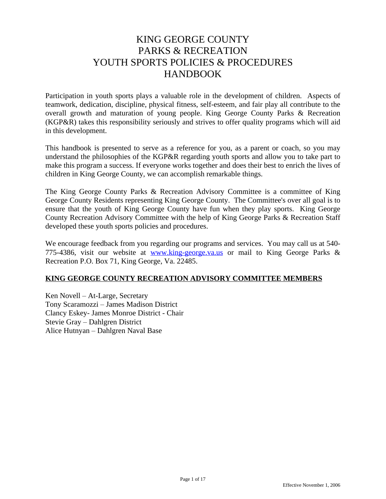# KING GEORGE COUNTY PARKS & RECREATION YOUTH SPORTS POLICIES & PROCEDURES HANDBOOK

Participation in youth sports plays a valuable role in the development of children. Aspects of teamwork, dedication, discipline, physical fitness, self-esteem, and fair play all contribute to the overall growth and maturation of young people. King George County Parks & Recreation (KGP&R) takes this responsibility seriously and strives to offer quality programs which will aid in this development.

This handbook is presented to serve as a reference for you, as a parent or coach, so you may understand the philosophies of the KGP&R regarding youth sports and allow you to take part to make this program a success. If everyone works together and does their best to enrich the lives of children in King George County, we can accomplish remarkable things.

The King George County Parks & Recreation Advisory Committee is a committee of King George County Residents representing King George County. The Committee's over all goal is to ensure that the youth of King George County have fun when they play sports. King George County Recreation Advisory Committee with the help of King George Parks & Recreation Staff developed these youth sports policies and procedures.

We encourage feedback from you regarding our programs and services. You may call us at 540-775-4386, visit our website at  $www.king-george.va.us$  or mail to King George Parks  $\&$ Recreation P.O. Box 71, King George, Va. 22485.

## **KING GEORGE COUNTY RECREATION ADVISORY COMMITTEE MEMBERS**

Ken Novell – At-Large, Secretary Tony Scaramozzi – James Madison District Clancy Eskey- James Monroe District - Chair Stevie Gray – Dahlgren District Alice Hutnyan – Dahlgren Naval Base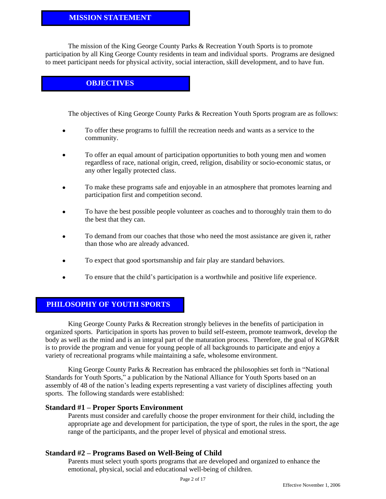#### **MISSION STATEMENT**

The mission of the King George County Parks & Recreation Youth Sports is to promote participation by all King George County residents in team and individual sports. Programs are designed to meet participant needs for physical activity, social interaction, skill development, and to have fun.

## **OBJECTIVES**

The objectives of King George County Parks & Recreation Youth Sports program are as follows:

- To offer these programs to fulfill the recreation needs and wants as a service to the community.
- To offer an equal amount of participation opportunities to both young men and women regardless of race, national origin, creed, religion, disability or socio-economic status, or any other legally protected class.
- To make these programs safe and enjoyable in an atmosphere that promotes learning and participation first and competition second.
- To have the best possible people volunteer as coaches and to thoroughly train them to do the best that they can.
- To demand from our coaches that those who need the most assistance are given it, rather than those who are already advanced.
- To expect that good sportsmanship and fair play are standard behaviors.
- To ensure that the child's participation is a worthwhile and positive life experience.

### **PHILOSOPHY OF YOUTH SPORTS**

King George County Parks & Recreation strongly believes in the benefits of participation in organized sports. Participation in sports has proven to build self-esteem, promote teamwork, develop the body as well as the mind and is an integral part of the maturation process. Therefore, the goal of KGP&R is to provide the program and venue for young people of all backgrounds to participate and enjoy a variety of recreational programs while maintaining a safe, wholesome environment.

King George County Parks & Recreation has embraced the philosophies set forth in "National Standards for Youth Sports," a publication by the National Alliance for Youth Sports based on an assembly of 48 of the nation's leading experts representing a vast variety of disciplines affecting youth sports. The following standards were established:

#### **Standard #1 – Proper Sports Environment**

Parents must consider and carefully choose the proper environment for their child, including the appropriate age and development for participation, the type of sport, the rules in the sport, the age range of the participants, and the proper level of physical and emotional stress.

#### **Standard #2 – Programs Based on Well-Being of Child**

Parents must select youth sports programs that are developed and organized to enhance the emotional, physical, social and educational well-being of children.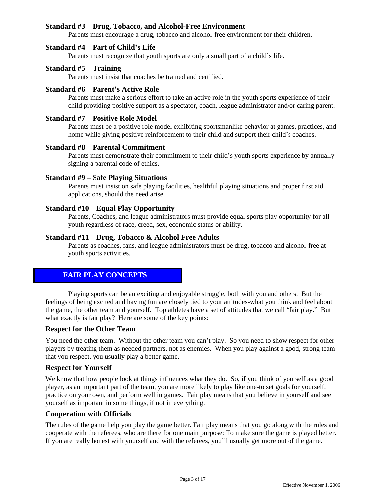#### **Standard #3 – Drug, Tobacco, and Alcohol-Free Environment**

Parents must encourage a drug, tobacco and alcohol-free environment for their children.

#### **Standard #4 – Part of Child's Life**

Parents must recognize that youth sports are only a small part of a child's life.

#### **Standard #5 – Training**

Parents must insist that coaches be trained and certified.

#### **Standard #6 – Parent's Active Role**

Parents must make a serious effort to take an active role in the youth sports experience of their child providing positive support as a spectator, coach, league administrator and/or caring parent.

#### **Standard #7 – Positive Role Model**

Parents must be a positive role model exhibiting sportsmanlike behavior at games, practices, and home while giving positive reinforcement to their child and support their child's coaches.

#### **Standard #8 – Parental Commitment**

Parents must demonstrate their commitment to their child's youth sports experience by annually signing a parental code of ethics.

#### **Standard #9 – Safe Playing Situations**

Parents must insist on safe playing facilities, healthful playing situations and proper first aid applications, should the need arise.

#### **Standard #10 – Equal Play Opportunity**

Parents, Coaches, and league administrators must provide equal sports play opportunity for all youth regardless of race, creed, sex, economic status or ability.

#### **Standard #11 – Drug, Tobacco & Alcohol Free Adults**

Parents as coaches, fans, and league administrators must be drug, tobacco and alcohol-free at youth sports activities.

### **FAIR PLAY CONCEPTS**

Playing sports can be an exciting and enjoyable struggle, both with you and others. But the feelings of being excited and having fun are closely tied to your attitudes-what you think and feel about the game, the other team and yourself. Top athletes have a set of attitudes that we call "fair play." But what exactly is fair play? Here are some of the key points:

#### **Respect for the Other Team**

You need the other team. Without the other team you can't play. So you need to show respect for other players by treating them as needed partners, not as enemies. When you play against a good, strong team that you respect, you usually play a better game.

#### **Respect for Yourself**

We know that how people look at things influences what they do. So, if you think of yourself as a good player, as an important part of the team, you are more likely to play like one-to set goals for yourself, practice on your own, and perform well in games. Fair play means that you believe in yourself and see yourself as important in some things, if not in everything.

#### **Cooperation with Officials**

The rules of the game help you play the game better. Fair play means that you go along with the rules and cooperate with the referees, who are there for one main purpose: To make sure the game is played better. If you are really honest with yourself and with the referees, you'll usually get more out of the game.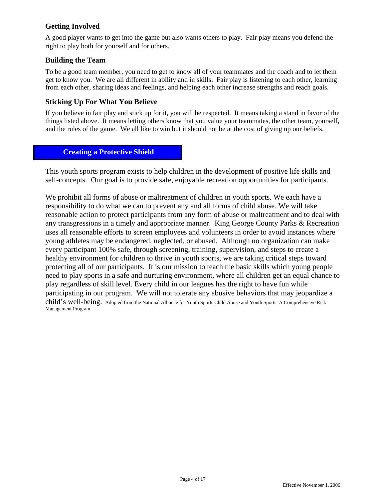## **Getting Involved**

A good player wants to get into the game but also wants others to play. Fair play means you defend the right to play both for yourself and for others.

## **Building the Team**

To be a good team member, you need to get to know all of your teammates and the coach and to let them get to know you. We are all different in ability and in skills. Fair play is listening to each other, learning from each other, sharing ideas and feelings, and helping each other increase strengths and reach goals.

### **Sticking Up For What You Believe**

If you believe in fair play and stick up for it, you will be respected. It means taking a stand in favor of the things listed above. It means letting others know that you value your teammates, the other team, yourself, and the rules of the game. We all like to win but it should not be at the cost of giving up our beliefs.

## **Creating a Protective Shield**

This youth sports program exists to help children in the development of positive life skills and self-concepts. Our goal is to provide safe, enjoyable recreation opportunities for participants.

We prohibit all forms of abuse or maltreatment of children in youth sports. We each have a responsibility to do what we can to prevent any and all forms of child abuse. We will take reasonable action to protect participants from any form of abuse or maltreatment and to deal with any transgressions in a timely and appropriate manner. King George County Parks & Recreation uses all reasonable efforts to screen employees and volunteers in order to avoid instances where young athletes may be endangered, neglected, or abused. Although no organization can make every participant 100% safe, through screening, training, supervision, and steps to create a healthy environment for children to thrive in youth sports, we are taking critical steps toward protecting all of our participants. It is our mission to teach the basic skills which young people need to play sports in a safe and nurturing environment, where all children get an equal chance to play regardless of skill level. Every child in our leagues has the right to have fun while participating in our program. We will not tolerate any abusive behaviors that may jeopardize a child's well-being. Adopted from the National Alliance for Youth Sports Child Abuse and Youth Sports: A Comprehensive Risk Management Program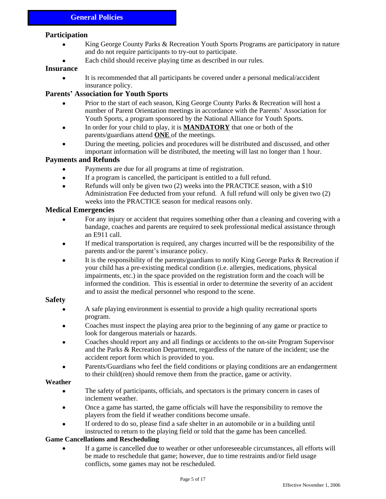#### **Participation**

- King George County Parks & Recreation Youth Sports Programs are participatory in nature and do not require participants to try-out to participate.
- Each child should receive playing time as described in our rules.

#### **Insurance**

 It is recommended that all participants be covered under a personal medical/accident insurance policy.

#### **Parents' Association for Youth Sports**

- Prior to the start of each season, King George County Parks & Recreation will host a number of Parent Orientation meetings in accordance with the Parents' Association for Youth Sports, a program sponsored by the National Alliance for Youth Sports.
- In order for your child to play, it is **MANDATORY** that one or both of the parents/guardians attend **ONE** of the meetings.
- During the meeting, policies and procedures will be distributed and discussed, and other important information will be distributed, the meeting will last no longer than 1 hour.

#### **Payments and Refunds**

- Payments are due for all programs at time of registration.
- If a program is cancelled, the participant is entitled to a full refund.
- Refunds will only be given two (2) weeks into the PRACTICE season, with a \$10 Administration Fee deducted from your refund. A full refund will only be given two (2) weeks into the PRACTICE season for medical reasons only.

#### **Medical Emergencies**

- For any injury or accident that requires something other than a cleaning and covering with a bandage, coaches and parents are required to seek professional medical assistance through an E911 call.
- If medical transportation is required, any charges incurred will be the responsibility of the parents and/or the parent's insurance policy.
- It is the responsibility of the parents/guardians to notify King George Parks & Recreation if your child has a pre-existing medical condition (i.e. allergies, medications, physical impairments, etc.) in the space provided on the registration form and the coach will be informed the condition. This is essential in order to determine the severity of an accident and to assist the medical personnel who respond to the scene.

#### **Safety**

- A safe playing environment is essential to provide a high quality recreational sports program.
- Coaches must inspect the playing area prior to the beginning of any game or practice to look for dangerous materials or hazards.
- Coaches should report any and all findings or accidents to the on-site Program Supervisor and the Parks & Recreation Department, regardless of the nature of the incident; use the accident report form which is provided to you.
- Parents/Guardians who feel the field conditions or playing conditions are an endangerment to their child(ren) should remove them from the practice, game or activity.

#### **Weather**

- The safety of participants, officials, and spectators is the primary concern in cases of inclement weather.
- Once a game has started, the game officials will have the responsibility to remove the players from the field if weather conditions become unsafe.
- If ordered to do so, please find a safe shelter in an automobile or in a building until instructed to return to the playing field or told that the game has been cancelled.

#### **Game Cancellations and Rescheduling**

 If a game is cancelled due to weather or other unforeseeable circumstances, all efforts will be made to reschedule that game; however, due to time restraints and/or field usage conflicts, some games may not be rescheduled.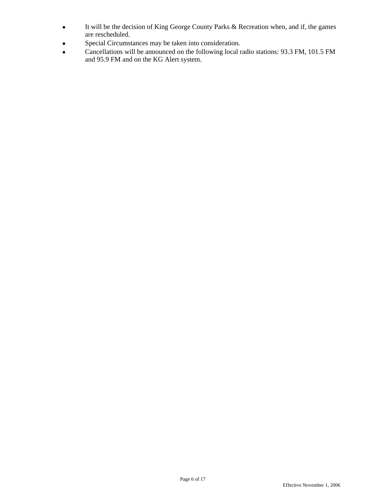- It will be the decision of King George County Parks & Recreation when, and if, the games are rescheduled.
- Special Circumstances may be taken into consideration.
- Cancellations will be announced on the following local radio stations: 93.3 FM, 101.5 FM and 95.9 FM and on the KG Alert system.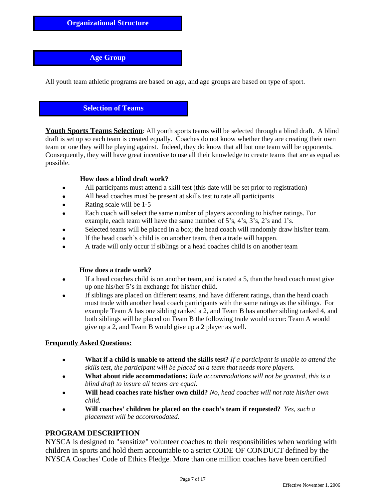## **Age Group**

All youth team athletic programs are based on age, and age groups are based on type of sport.

## **Selection of Teams**

**Youth Sports Teams Selection**: All youth sports teams will be selected through a blind draft. A blind draft is set up so each team is created equally. Coaches do not know whether they are creating their own team or one they will be playing against. Indeed, they do know that all but one team will be opponents. Consequently, they will have great incentive to use all their knowledge to create teams that are as equal as possible.

#### **How does a blind draft work?**

- All participants must attend a skill test (this date will be set prior to registration)
- All head coaches must be present at skills test to rate all participants
- Rating scale will be 1-5
- Each coach will select the same number of players according to his/her ratings. For example, each team will have the same number of 5's, 4's, 3's, 2's and 1's.
- Selected teams will be placed in a box; the head coach will randomly draw his/her team.
- If the head coach's child is on another team, then a trade will happen.
- A trade will only occur if siblings or a head coaches child is on another team

#### **How does a trade work?**

- If a head coaches child is on another team, and is rated a 5, than the head coach must give up one his/her 5's in exchange for his/her child.
- If siblings are placed on different teams, and have different ratings, than the head coach must trade with another head coach participants with the same ratings as the siblings. For example Team A has one sibling ranked a 2, and Team B has another sibling ranked 4, and both siblings will be placed on Team B the following trade would occur: Team A would give up a 2, and Team B would give up a 2 player as well.

#### **Frequently Asked Questions:**

- **What if a child is unable to attend the skills test?** *If a participant is unable to attend the skills test, the participant will be placed on a team that needs more players.*
- **What about ride accommodations:** *Ride accommodations will not be granted, this is a blind draft to insure all teams are equal.*
- **Will head coaches rate his/her own child?** *No, head coaches will not rate his/her own child.*
- **Will coaches' children be placed on the coach's team if requested?** *Yes, such a placement will be accommodated.*

#### **PROGRAM DESCRIPTION**

NYSCA is designed to "sensitize" volunteer coaches to their responsibilities when working with children in sports and hold them accountable to a strict CODE OF CONDUCT defined by the NYSCA Coaches' Code of Ethics Pledge. More than one million coaches have been certified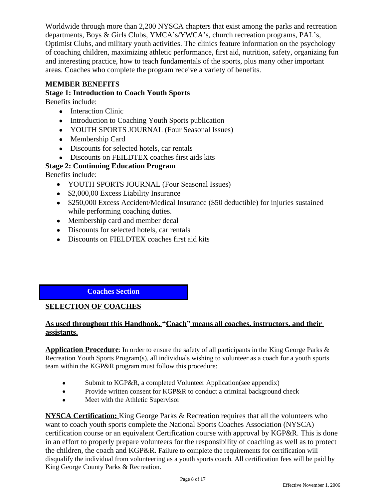Worldwide through more than 2,200 NYSCA chapters that exist among the parks and recreation departments, Boys & Girls Clubs, YMCA's/YWCA's, church recreation programs, PAL's, Optimist Clubs, and military youth activities. The clinics feature information on the psychology of coaching children, maximizing athletic performance, first aid, nutrition, safety, organizing fun and interesting practice, how to teach fundamentals of the sports, plus many other important areas. Coaches who complete the program receive a variety of benefits.

## **MEMBER BENEFITS**

## **Stage 1: Introduction to Coach Youth Sports**

Benefits include:

- Interaction Clinic
- Introduction to Coaching Youth Sports publication
- YOUTH SPORTS JOURNAL (Four Seasonal Issues)
- Membership Card
- Discounts for selected hotels, car rentals
- Discounts on FEILDTEX coaches first aids kits

## **Stage 2: Continuing Education Program**

Benefits include:

- YOUTH SPORTS JOURNAL (Four Seasonal Issues)
- \$2,000,00 Excess Liability Insurance
- \$250,000 Excess Accident/Medical Insurance (\$50 deductible) for injuries sustained while performing coaching duties.
- Membership card and member decal
- Discounts for selected hotels, car rentals
- Discounts on FIELDTEX coaches first aid kits

## **Coaches Section**

## **SELECTION OF COACHES**

## **As used throughout this Handbook, "Coach" means all coaches, instructors, and their assistants.**

**Application Procedure**: In order to ensure the safety of all participants in the King George Parks & Recreation Youth Sports Program(s), all individuals wishing to volunteer as a coach for a youth sports team within the KGP&R program must follow this procedure:

- Submit to KGP&R, a completed Volunteer Application(see appendix)
- Provide written consent for KGP&R to conduct a criminal background check
- Meet with the Athletic Supervisor

**NYSCA Certification:** King George Parks & Recreation requires that all the volunteers who want to coach youth sports complete the National Sports Coaches Association (NYSCA) certification course or an equivalent Certification course with approval by KGP&R. This is done in an effort to properly prepare volunteers for the responsibility of coaching as well as to protect the children, the coach and KGP&R. Failure to complete the requirements for certification will disqualify the individual from volunteering as a youth sports coach. All certification fees will be paid by King George County Parks & Recreation.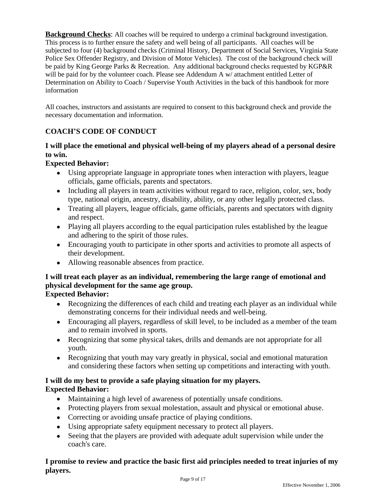**Background Checks:** All coaches will be required to undergo a criminal background investigation. This process is to further ensure the safety and well being of all participants. All coaches will be subjected to four (4) background checks (Criminal History, Department of Social Services, Virginia State Police Sex Offender Registry, and Division of Motor Vehicles). The cost of the background check will be paid by King George Parks & Recreation. Any additional background checks requested by KGP&R will be paid for by the volunteer coach. Please see Addendum A w/ attachment entitled Letter of Determination on Ability to Coach / Supervise Youth Activities in the back of this handbook for more information

All coaches, instructors and assistants are required to consent to this background check and provide the necessary documentation and information.

## **COACH'S CODE OF CONDUCT**

## **I will place the emotional and physical well-being of my players ahead of a personal desire to win.**

## **Expected Behavior:**

- Using appropriate language in appropriate tones when interaction with players, league officials, game officials, parents and spectators.
- Including all players in team activities without regard to race, religion, color, sex, body type, national origin, ancestry, disability, ability, or any other legally protected class.
- Treating all players, league officials, game officials, parents and spectators with dignity and respect.
- Playing all players according to the equal participation rules established by the league and adhering to the spirit of those rules.
- Encouraging youth to participate in other sports and activities to promote all aspects of their development.
- Allowing reasonable absences from practice.

## **I will treat each player as an individual, remembering the large range of emotional and physical development for the same age group.**

**Expected Behavior:**

- Recognizing the differences of each child and treating each player as an individual while demonstrating concerns for their individual needs and well-being.
- Encouraging all players, regardless of skill level, to be included as a member of the team and to remain involved in sports.
- Recognizing that some physical takes, drills and demands are not appropriate for all youth.
- Recognizing that youth may vary greatly in physical, social and emotional maturation and considering these factors when setting up competitions and interacting with youth.

## **I will do my best to provide a safe playing situation for my players. Expected Behavior:**

- Maintaining a high level of awareness of potentially unsafe conditions.
- Protecting players from sexual molestation, assault and physical or emotional abuse.
- Correcting or avoiding unsafe practice of playing conditions.
- Using appropriate safety equipment necessary to protect all players.
- Seeing that the players are provided with adequate adult supervision while under the coach's care.

#### **I promise to review and practice the basic first aid principles needed to treat injuries of my players.**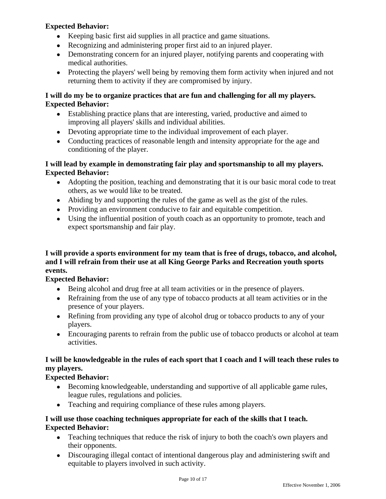## **Expected Behavior:**

- Keeping basic first aid supplies in all practice and game situations.
- Recognizing and administering proper first aid to an injured player.
- Demonstrating concern for an injured player, notifying parents and cooperating with medical authorities.
- Protecting the players' well being by removing them form activity when injured and not returning them to activity if they are compromised by injury.

## **I will do my be to organize practices that are fun and challenging for all my players. Expected Behavior:**

- Establishing practice plans that are interesting, varied, productive and aimed to improving all players' skills and individual abilities.
- Devoting appropriate time to the individual improvement of each player.
- Conducting practices of reasonable length and intensity appropriate for the age and conditioning of the player.

## **I will lead by example in demonstrating fair play and sportsmanship to all my players. Expected Behavior:**

- Adopting the position, teaching and demonstrating that it is our basic moral code to treat others, as we would like to be treated.
- Abiding by and supporting the rules of the game as well as the gist of the rules.
- Providing an environment conducive to fair and equitable competition.
- Using the influential position of youth coach as an opportunity to promote, teach and expect sportsmanship and fair play.

## **I will provide a sports environment for my team that is free of drugs, tobacco, and alcohol, and I will refrain from their use at all King George Parks and Recreation youth sports events.**

## **Expected Behavior:**

- Being alcohol and drug free at all team activities or in the presence of players.
- Refraining from the use of any type of tobacco products at all team activities or in the presence of your players.
- Refining from providing any type of alcohol drug or tobacco products to any of your players.
- Encouraging parents to refrain from the public use of tobacco products or alcohol at team activities.

## **I will be knowledgeable in the rules of each sport that I coach and I will teach these rules to my players.**

## **Expected Behavior:**

- Becoming knowledgeable, understanding and supportive of all applicable game rules, league rules, regulations and policies.
- Teaching and requiring compliance of these rules among players.

## **I will use those coaching techniques appropriate for each of the skills that I teach. Expected Behavior:**

- Teaching techniques that reduce the risk of injury to both the coach's own players and their opponents.
- Discouraging illegal contact of intentional dangerous play and administering swift and equitable to players involved in such activity.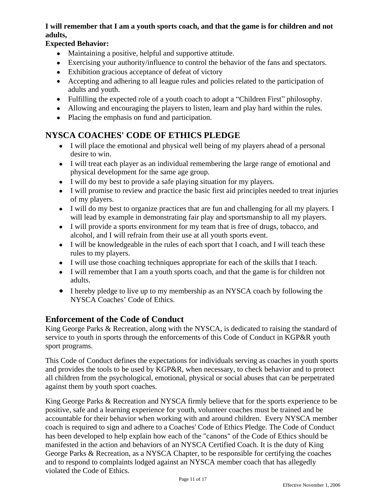## **I will remember that I am a youth sports coach, and that the game is for children and not adults,**

## **Expected Behavior:**

- Maintaining a positive, helpful and supportive attitude.
- Exercising your authority/influence to control the behavior of the fans and spectators.
- Exhibition gracious acceptance of defeat of victory
- Accepting and adhering to all league rules and policies related to the participation of adults and youth.
- Fulfilling the expected role of a youth coach to adopt a "Children First" philosophy.
- Allowing and encouraging the players to listen, learn and play hard within the rules.
- Placing the emphasis on fund and participation.

# **NYSCA COACHES' CODE OF ETHICS PLEDGE**

- I will place the emotional and physical well being of my players ahead of a personal desire to win.
- I will treat each player as an individual remembering the large range of emotional and physical development for the same age group.
- I will do my best to provide a safe playing situation for my players.
- I will promise to review and practice the basic first aid principles needed to treat injuries of my players.
- I will do my best to organize practices that are fun and challenging for all my players. I will lead by example in demonstrating fair play and sportsmanship to all my players.
- I will provide a sports environment for my team that is free of drugs, tobacco, and alcohol, and I will refrain from their use at all youth sports event.
- I will be knowledgeable in the rules of each sport that I coach, and I will teach these rules to my players.
- I will use those coaching techniques appropriate for each of the skills that I teach.
- I will remember that I am a youth sports coach, and that the game is for children not adults.
- I hereby pledge to live up to my membership as an NYSCA coach by following the NYSCA Coaches' Code of Ethics.

# **Enforcement of the Code of Conduct**

King George Parks & Recreation, along with the NYSCA, is dedicated to raising the standard of service to youth in sports through the enforcements of this Code of Conduct in KGP&R youth sport programs.

This Code of Conduct defines the expectations for individuals serving as coaches in youth sports and provides the tools to be used by KGP&R, when necessary, to check behavior and to protect all children from the psychological, emotional, physical or social abuses that can be perpetrated against them by youth sport coaches.

King George Parks & Recreation and NYSCA firmly believe that for the sports experience to be positive, safe and a learning experience for youth, volunteer coaches must be trained and be accountable for their behavior when working with and around children. Every NYSCA member coach is required to sign and adhere to a Coaches' Code of Ethics Pledge. The Code of Conduct has been developed to help explain how each of the "canons" of the Code of Ethics should be manifested in the action and behaviors of an NYSCA Certified Coach. It is the duty of King George Parks & Recreation, as a NYSCA Chapter, to be responsible for certifying the coaches and to respond to complaints lodged against an NYSCA member coach that has allegedly violated the Code of Ethics.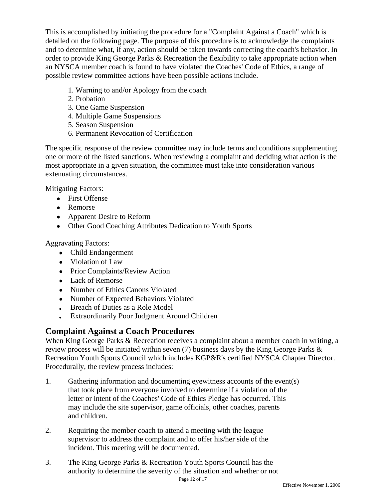This is accomplished by initiating the procedure for a "Complaint Against a Coach" which is detailed on the following page. The purpose of this procedure is to acknowledge the complaints and to determine what, if any, action should be taken towards correcting the coach's behavior. In order to provide King George Parks & Recreation the flexibility to take appropriate action when an NYSCA member coach is found to have violated the Coaches' Code of Ethics, a range of possible review committee actions have been possible actions include.

- 1. Warning to and/or Apology from the coach
- 2. Probation
- 3. One Game Suspension
- 4. Multiple Game Suspensions
- 5. Season Suspension
- 6. Permanent Revocation of Certification

The specific response of the review committee may include terms and conditions supplementing one or more of the listed sanctions. When reviewing a complaint and deciding what action is the most appropriate in a given situation, the committee must take into consideration various extenuating circumstances.

Mitigating Factors:

- First Offense
- Remorse
- Apparent Desire to Reform
- Other Good Coaching Attributes Dedication to Youth Sports

Aggravating Factors:

- Child Endangerment
- Violation of Law
- Prior Complaints/Review Action
- Lack of Remorse
- Number of Ethics Canons Violated
- Number of Expected Behaviors Violated
- Breach of Duties as a Role Model
- Extraordinarily Poor Judgment Around Children

## **Complaint Against a Coach Procedures**

When King George Parks & Recreation receives a complaint about a member coach in writing, a review process will be initiated within seven (7) business days by the King George Parks & Recreation Youth Sports Council which includes KGP&R's certified NYSCA Chapter Director. Procedurally, the review process includes:

- 1. Gathering information and documenting eyewitness accounts of the event(s) that took place from everyone involved to determine if a violation of the letter or intent of the Coaches' Code of Ethics Pledge has occurred. This may include the site supervisor, game officials, other coaches, parents and children.
- 2. Requiring the member coach to attend a meeting with the league supervisor to address the complaint and to offer his/her side of the incident. This meeting will be documented.
- 3. The King George Parks & Recreation Youth Sports Council has the authority to determine the severity of the situation and whether or not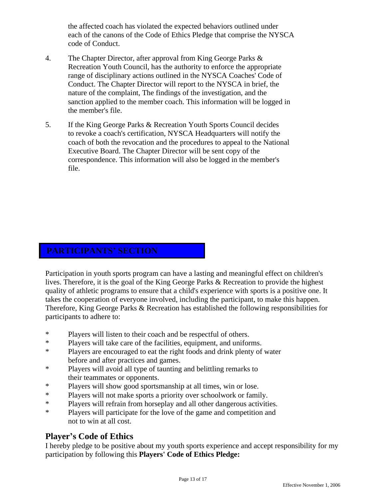the affected coach has violated the expected behaviors outlined under each of the canons of the Code of Ethics Pledge that comprise the NYSCA code of Conduct.

- 4. The Chapter Director, after approval from King George Parks & Recreation Youth Council, has the authority to enforce the appropriate range of disciplinary actions outlined in the NYSCA Coaches' Code of Conduct. The Chapter Director will report to the NYSCA in brief, the nature of the complaint, The findings of the investigation, and the sanction applied to the member coach. This information will be logged in the member's file.
- 5. If the King George Parks & Recreation Youth Sports Council decides to revoke a coach's certification, NYSCA Headquarters will notify the coach of both the revocation and the procedures to appeal to the National Executive Board. The Chapter Director will be sent copy of the correspondence. This information will also be logged in the member's file.

## **PARTICIPANTS' SECTION**

Participation in youth sports program can have a lasting and meaningful effect on children's lives. Therefore, it is the goal of the King George Parks & Recreation to provide the highest quality of athletic programs to ensure that a child's experience with sports is a positive one. It takes the cooperation of everyone involved, including the participant, to make this happen. Therefore, King George Parks & Recreation has established the following responsibilities for participants to adhere to:

- \* Players will listen to their coach and be respectful of others.
- \* Players will take care of the facilities, equipment, and uniforms.
- \* Players are encouraged to eat the right foods and drink plenty of water before and after practices and games.
- \* Players will avoid all type of taunting and belittling remarks to their teammates or opponents.
- \* Players will show good sportsmanship at all times, win or lose.
- \* Players will not make sports a priority over schoolwork or family.
- \* Players will refrain from horseplay and all other dangerous activities.
- \* Players will participate for the love of the game and competition and not to win at all cost.

## **Player's Code of Ethics**

I hereby pledge to be positive about my youth sports experience and accept responsibility for my participation by following this **Players' Code of Ethics Pledge:**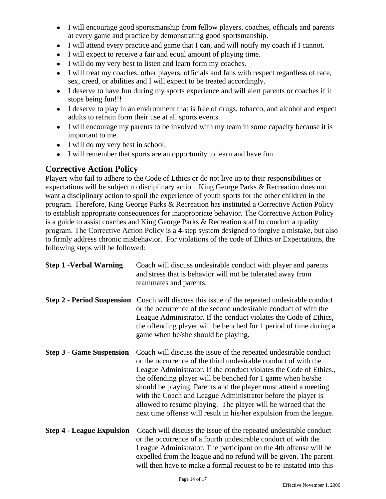- I will encourage good sportsmanship from fellow players, coaches, officials and parents at every game and practice by demonstrating good sportsmanship.
- I will attend every practice and game that I can, and will notify my coach if I cannot.
- I will expect to receive a fair and equal amount of playing time.
- I will do my very best to listen and learn form my coaches.
- I will treat my coaches, other players, officials and fans with respect regardless of race, sex, creed, or abilities and I will expect to be treated accordingly.
- I deserve to have fun during my sports experience and will alert parents or coaches if it stops being fun!!!
- I deserve to play in an environment that is free of drugs, tobacco, and alcohol and expect adults to refrain form their use at all sports events.
- I will encourage my parents to be involved with my team in some capacity because it is important to me.
- I will do my very best in school.
- I will remember that sports are an opportunity to learn and have fun.

## **Corrective Action Policy**

Players who fail to adhere to the Code of Ethics or do not live up to their responsibilities or expectations will be subject to disciplinary action. King George Parks & Recreation does not want a disciplinary action to spoil the experience of youth sports for the other children in the program. Therefore, King George Parks & Recreation has instituted a Corrective Action Policy to establish appropriate consequences for inappropriate behavior. The Corrective Action Policy is a guide to assist coaches and King George Parks & Recreation staff to conduct a quality program. The Corrective Action Policy is a 4-step system designed to forgive a mistake, but also to firmly address chronic misbehavior. For violations of the code of Ethics or Expectations, the following steps will be followed:

| <b>Step 1 - Verbal Warning</b>   | Coach will discuss undesirable conduct with player and parents<br>and stress that is behavior will not be tolerated away from<br>teammates and parents.                                                                                                                                                                                                                                                                                                                                                                                            |
|----------------------------------|----------------------------------------------------------------------------------------------------------------------------------------------------------------------------------------------------------------------------------------------------------------------------------------------------------------------------------------------------------------------------------------------------------------------------------------------------------------------------------------------------------------------------------------------------|
|                                  | <b>Step 2 - Period Suspension</b> Coach will discuss this issue of the repeated undesirable conduct<br>or the occurrence of the second undesirable conduct of with the<br>League Administrator. If the conduct violates the Code of Ethics,<br>the offending player will be benched for 1 period of time during a<br>game when he/she should be playing.                                                                                                                                                                                           |
| <b>Step 3 - Game Suspension</b>  | Coach will discuss the issue of the repeated undesirable conduct<br>or the occurrence of the third undesirable conduct of with the<br>League Administrator. If the conduct violates the Code of Ethics.,<br>the offending player will be benched for 1 game when he/she<br>should be playing. Parents and the player must attend a meeting<br>with the Coach and League Administrator before the player is<br>allowed to resume playing. The player will be warned that the<br>next time offense will result in his/her expulsion from the league. |
| <b>Step 4 - League Expulsion</b> | Coach will discuss the issue of the repeated undesirable conduct<br>or the occurrence of a fourth undesirable conduct of with the<br>League Administrator. The participant on the 4th offense will be<br>expelled from the league and no refund will be given. The parent<br>will then have to make a formal request to be re-instated into this                                                                                                                                                                                                   |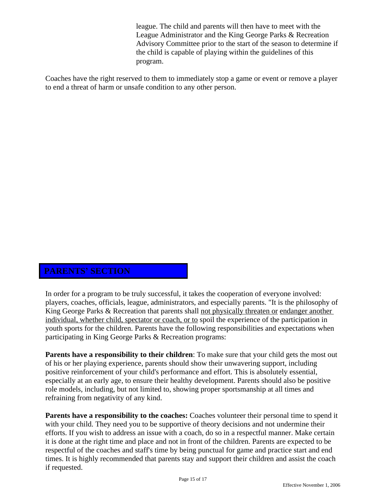league. The child and parents will then have to meet with the League Administrator and the King George Parks & Recreation Advisory Committee prior to the start of the season to determine if the child is capable of playing within the guidelines of this program.

Coaches have the right reserved to them to immediately stop a game or event or remove a player to end a threat of harm or unsafe condition to any other person.

## **PARENTS' SECTION**

In order for a program to be truly successful, it takes the cooperation of everyone involved: players, coaches, officials, league, administrators, and especially parents. "It is the philosophy of King George Parks & Recreation that parents shall not physically threaten or endanger another individual, whether child, spectator or coach, or to spoil the experience of the participation in youth sports for the children. Parents have the following responsibilities and expectations when participating in King George Parks & Recreation programs:

**Parents have a responsibility to their children**: To make sure that your child gets the most out of his or her playing experience, parents should show their unwavering support, including positive reinforcement of your child's performance and effort. This is absolutely essential, especially at an early age, to ensure their healthy development. Parents should also be positive role models, including, but not limited to, showing proper sportsmanship at all times and refraining from negativity of any kind.

**Parents have a responsibility to the coaches:** Coaches volunteer their personal time to spend it with your child. They need you to be supportive of theory decisions and not undermine their efforts. If you wish to address an issue with a coach, do so in a respectful manner. Make certain it is done at the right time and place and not in front of the children. Parents are expected to be respectful of the coaches and staff's time by being punctual for game and practice start and end times. It is highly recommended that parents stay and support their children and assist the coach if requested.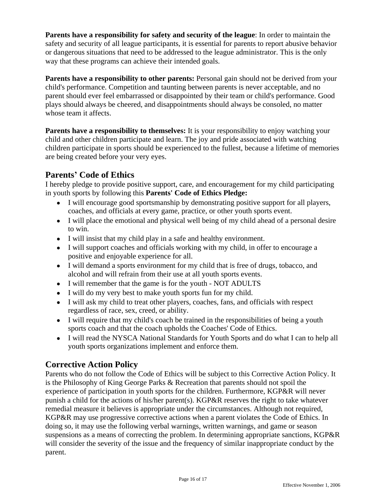**Parents have a responsibility for safety and security of the league**: In order to maintain the safety and security of all league participants, it is essential for parents to report abusive behavior or dangerous situations that need to be addressed to the league administrator. This is the only way that these programs can achieve their intended goals.

**Parents have a responsibility to other parents:** Personal gain should not be derived from your child's performance. Competition and taunting between parents is never acceptable, and no parent should ever feel embarrassed or disappointed by their team or child's performance. Good plays should always be cheered, and disappointments should always be consoled, no matter whose team it affects.

**Parents have a responsibility to themselves:** It is your responsibility to enjoy watching your child and other children participate and learn. The joy and pride associated with watching children participate in sports should be experienced to the fullest, because a lifetime of memories are being created before your very eyes.

## **Parents' Code of Ethics**

I hereby pledge to provide positive support, care, and encouragement for my child participating in youth sports by following this **Parents' Code of Ethics Pledge:**

- I will encourage good sportsmanship by demonstrating positive support for all players, coaches, and officials at every game, practice, or other youth sports event.
- I will place the emotional and physical well being of my child ahead of a personal desire to win.
- I will insist that my child play in a safe and healthy environment.
- I will support coaches and officials working with my child, in offer to encourage a positive and enjoyable experience for all.
- I will demand a sports environment for my child that is free of drugs, tobacco, and alcohol and will refrain from their use at all youth sports events.
- I will remember that the game is for the youth NOT ADULTS
- I will do my very best to make youth sports fun for my child.
- I will ask my child to treat other players, coaches, fans, and officials with respect regardless of race, sex, creed, or ability.
- I will require that my child's coach be trained in the responsibilities of being a youth sports coach and that the coach upholds the Coaches' Code of Ethics.
- I will read the NYSCA National Standards for Youth Sports and do what I can to help all youth sports organizations implement and enforce them.

## **Corrective Action Policy**

Parents who do not follow the Code of Ethics will be subject to this Corrective Action Policy. It is the Philosophy of King George Parks & Recreation that parents should not spoil the experience of participation in youth sports for the children. Furthermore, KGP&R will never punish a child for the actions of his/her parent(s). KGP&R reserves the right to take whatever remedial measure it believes is appropriate under the circumstances. Although not required, KGP&R may use progressive corrective actions when a parent violates the Code of Ethics. In doing so, it may use the following verbal warnings, written warnings, and game or season suspensions as a means of correcting the problem. In determining appropriate sanctions, KGP&R will consider the severity of the issue and the frequency of similar inappropriate conduct by the parent.